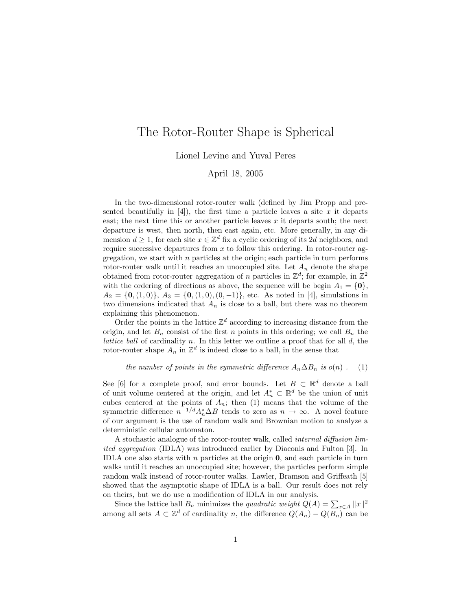## The Rotor-Router Shape is Spherical

Lionel Levine and Yuval Peres

## April 18, 2005

In the two-dimensional rotor-router walk (defined by Jim Propp and presented beautifully in  $[4]$ ), the first time a particle leaves a site x it departs east; the next time this or another particle leaves  $x$  it departs south; the next departure is west, then north, then east again, etc. More generally, in any dimension  $d \geq 1$ , for each site  $x \in \mathbb{Z}^d$  fix a cyclic ordering of its 2d neighbors, and require successive departures from  $x$  to follow this ordering. In rotor-router aggregation, we start with  $n$  particles at the origin; each particle in turn performs rotor-router walk until it reaches an unoccupied site. Let  $A_n$  denote the shape obtained from rotor-router aggregation of n particles in  $\mathbb{Z}^d$ ; for example, in  $\mathbb{Z}^2$ with the ordering of directions as above, the sequence will be begin  $A_1 = \{0\},\$  $A_2 = \{0, (1, 0)\}, A_3 = \{0, (1, 0), (0, -1)\},$  etc. As noted in [4], simulations in two dimensions indicated that  $A_n$  is close to a ball, but there was no theorem explaining this phenomenon.

Order the points in the lattice  $\mathbb{Z}^d$  according to increasing distance from the origin, and let  $B_n$  consist of the first n points in this ordering; we call  $B_n$  the *lattice ball* of cardinality  $n$ . In this letter we outline a proof that for all  $d$ , the rotor-router shape  $A_n$  in  $\mathbb{Z}^d$  is indeed close to a ball, in the sense that

## the number of points in the symmetric difference  $A_n \Delta B_n$  is  $o(n)$ . (1)

See [6] for a complete proof, and error bounds. Let  $B \subset \mathbb{R}^d$  denote a ball of unit volume centered at the origin, and let  $A_n^* \subset \mathbb{R}^d$  be the union of unit cubes centered at the points of  $A_n$ ; then (1) means that the volume of the symmetric difference  $n^{-1/d} A_n^* \Delta B$  tends to zero as  $n \to \infty$ . A novel feature of our argument is the use of random walk and Brownian motion to analyze a deterministic cellular automaton.

A stochastic analogue of the rotor-router walk, called internal diffusion limited aggregation (IDLA) was introduced earlier by Diaconis and Fulton [3]. In IDLA one also starts with  $n$  particles at the origin  $\mathbf{0}$ , and each particle in turn walks until it reaches an unoccupied site; however, the particles perform simple random walk instead of rotor-router walks. Lawler, Bramson and Griffeath [5] showed that the asymptotic shape of IDLA is a ball. Our result does not rely on theirs, but we do use a modification of IDLA in our analysis.

Since the lattice ball  $B_n$  minimizes the *quadratic weight*  $Q(A) = \sum_{x \in A} ||x||^2$ among all sets  $A \subset \mathbb{Z}^d$  of cardinality n, the difference  $Q(A_n) - Q(B_n)$  can be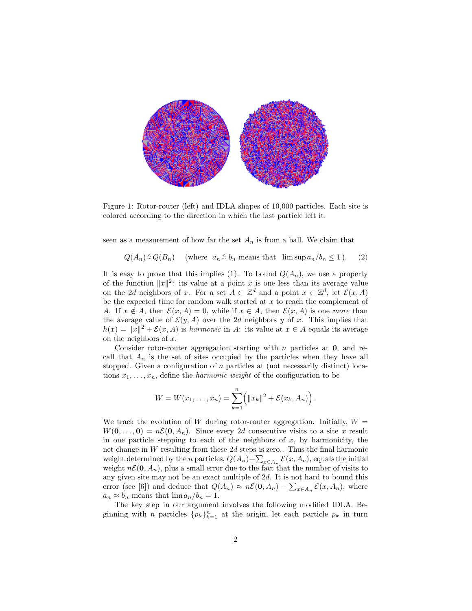

Figure 1: Rotor-router (left) and IDLA shapes of 10,000 particles. Each site is colored according to the direction in which the last particle left it.

seen as a measurement of how far the set  $A_n$  is from a ball. We claim that

$$
Q(A_n) \leq Q(B_n)
$$
 (where  $a_n \leq b_n$  means that  $\limsup a_n/b_n \leq 1$ ). (2)

It is easy to prove that this implies (1). To bound  $Q(A_n)$ , we use a property of the function  $||x||^2$ : its value at a point x is one less than its average value on the 2d neighbors of x. For a set  $A \subset \mathbb{Z}^d$  and a point  $x \in \mathbb{Z}^d$ , let  $\mathcal{E}(x, A)$ be the expected time for random walk started at  $x$  to reach the complement of A. If  $x \notin A$ , then  $\mathcal{E}(x, A) = 0$ , while if  $x \in A$ , then  $\mathcal{E}(x, A)$  is one more than the average value of  $\mathcal{E}(y, A)$  over the 2d neighbors y of x. This implies that  $h(x) = ||x||^2 + \mathcal{E}(x, A)$  is harmonic in A: its value at  $x \in A$  equals its average on the neighbors of  $x$ .

Consider rotor-router aggregation starting with  $n$  particles at  $0$ , and recall that  $A_n$  is the set of sites occupied by the particles when they have all stopped. Given a configuration of  $n$  particles at (not necessarily distinct) locations  $x_1, \ldots, x_n$ , define the *harmonic weight* of the configuration to be

$$
W = W(x_1, ..., x_n) = \sum_{k=1}^n (||x_k||^2 + \mathcal{E}(x_k, A_n)).
$$

We track the evolution of W during rotor-router aggregation. Initially,  $W =$  $W(\mathbf{0}, \ldots, \mathbf{0}) = n\mathcal{E}(\mathbf{0}, A_n)$ . Since every 2d consecutive visits to a site x result in one particle stepping to each of the neighbors of  $x$ , by harmonicity, the net change in  $W$  resulting from these  $2d$  steps is zero.. Thus the final harmonic weight determined by the *n* particles,  $Q(A_n) + \sum_{x \in A_n} \mathcal{E}(x, A_n)$ , equals the initial weight  $n\mathcal{E}(\mathbf{0}, A_n)$ , plus a small error due to the fact that the number of visits to any given site may not be an exact multiple of 2d. It is not hard to bound this error (see [6]) and deduce that  $Q(A_n) \approx n\mathcal{E}(\mathbf{0}, A_n) - \sum_{x \in A_n} \mathcal{E}(x, A_n)$ , where  $a_n \approx b_n$  means that  $\lim a_n/b_n = 1$ .

The key step in our argument involves the following modified IDLA. Beginning with *n* particles  ${p_k}_{k=1}^n$  at the origin, let each particle  $p_k$  in turn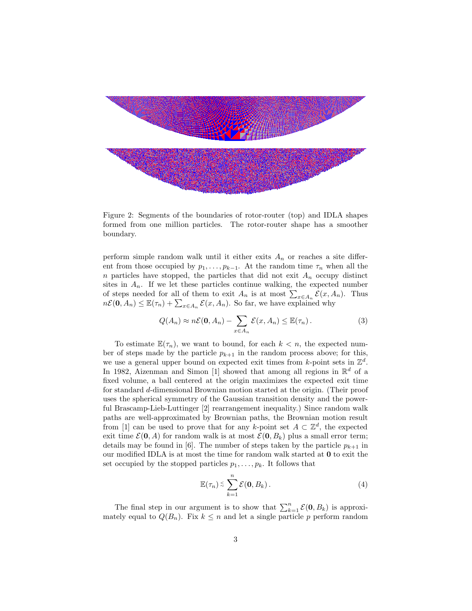

Figure 2: Segments of the boundaries of rotor-router (top) and IDLA shapes formed from one million particles. The rotor-router shape has a smoother boundary.

perform simple random walk until it either exits  $A_n$  or reaches a site different from those occupied by  $p_1, \ldots, p_{k-1}$ . At the random time  $\tau_n$  when all the n particles have stopped, the particles that did not exit  $A_n$  occupy distinct sites in  $A_n$ . If we let these particles continue walking, the expected number of steps needed for all of them to exit  $A_n$  is at most  $\sum_{x \in A_n} \mathcal{E}(x, A_n)$ . Thus  $n\mathcal{E}(\mathbf{0}, A_n) \leq \mathbb{E}(\tau_n) + \sum_{x \in A_n} \mathcal{E}(x, A_n)$ . So far, we have explained why

$$
Q(A_n) \approx n\mathcal{E}(\mathbf{0}, A_n) - \sum_{x \in A_n} \mathcal{E}(x, A_n) \leq \mathbb{E}(\tau_n).
$$
 (3)

To estimate  $\mathbb{E}(\tau_n)$ , we want to bound, for each  $k < n$ , the expected number of steps made by the particle  $p_{k+1}$  in the random process above; for this, we use a general upper bound on expected exit times from k-point sets in  $\mathbb{Z}^d$ . In 1982, Aizenman and Simon [1] showed that among all regions in  $\mathbb{R}^d$  of a fixed volume, a ball centered at the origin maximizes the expected exit time for standard d-dimensional Brownian motion started at the origin. (Their proof uses the spherical symmetry of the Gaussian transition density and the powerful Brascamp-Lieb-Luttinger [2] rearrangement inequality.) Since random walk paths are well-approximated by Brownian paths, the Brownian motion result from [1] can be used to prove that for any k-point set  $A \subset \mathbb{Z}^d$ , the expected exit time  $\mathcal{E}(\mathbf{0}, A)$  for random walk is at most  $\mathcal{E}(\mathbf{0}, B_k)$  plus a small error term; details may be found in [6]. The number of steps taken by the particle  $p_{k+1}$  in our modified IDLA is at most the time for random walk started at 0 to exit the set occupied by the stopped particles  $p_1, \ldots, p_k$ . It follows that

$$
\mathbb{E}(\tau_n) \lesssim \sum_{k=1}^n \mathcal{E}(\mathbf{0}, B_k).
$$
 (4)

The final step in our argument is to show that  $\sum_{k=1}^{n} \mathcal{E}(\mathbf{0}, B_k)$  is approximately equal to  $Q(B_n)$ . Fix  $k \leq n$  and let a single particle p perform random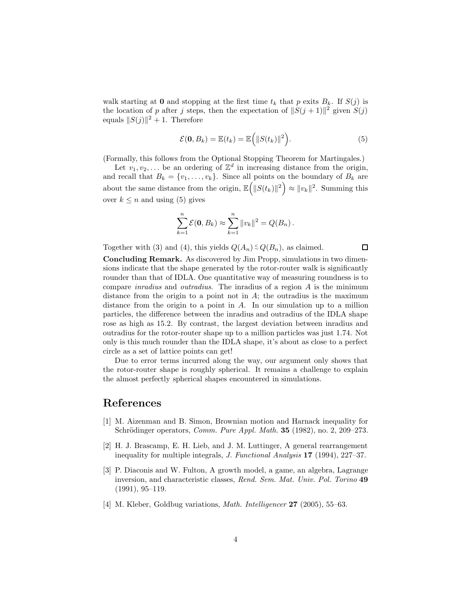walk starting at 0 and stopping at the first time  $t_k$  that p exits  $B_k$ . If  $S(j)$  is the location of p after j steps, then the expectation of  $||S(j + 1)||^2$  given  $S(j)$ equals  $||S(j)||^2 + 1$ . Therefore

$$
\mathcal{E}(\mathbf{0}, B_k) = \mathbb{E}(t_k) = \mathbb{E}\Big(\|S(t_k)\|^2\Big). \tag{5}
$$

(Formally, this follows from the Optional Stopping Theorem for Martingales.)

Let  $v_1, v_2, \ldots$  be an ordering of  $\mathbb{Z}^d$  in increasing distance from the origin, and recall that  $B_k = \{v_1, \ldots, v_k\}$ . Since all points on the boundary of  $B_k$  are about the same distance from the origin,  $\mathbb{E}(|S(t_k)||^2) \approx ||v_k||^2$ . Summing this over  $k \leq n$  and using (5) gives

$$
\sum_{k=1}^{n} \mathcal{E}(0, B_k) \approx \sum_{k=1}^{n} ||v_k||^2 = Q(B_n).
$$

Together with (3) and (4), this yields  $Q(A_n) \leq Q(B_n)$ , as claimed.

 $\Box$ 

Concluding Remark. As discovered by Jim Propp, simulations in two dimensions indicate that the shape generated by the rotor-router walk is significantly rounder than that of IDLA. One quantitative way of measuring roundness is to compare inradius and outradius. The inradius of a region A is the minimum distance from the origin to a point not in  $A$ ; the outradius is the maximum distance from the origin to a point in A. In our simulation up to a million particles, the difference between the inradius and outradius of the IDLA shape rose as high as 15.2. By contrast, the largest deviation between inradius and outradius for the rotor-router shape up to a million particles was just 1.74. Not only is this much rounder than the IDLA shape, it's about as close to a perfect circle as a set of lattice points can get!

Due to error terms incurred along the way, our argument only shows that the rotor-router shape is roughly spherical. It remains a challenge to explain the almost perfectly spherical shapes encountered in simulations.

## References

- [1] M. Aizenman and B. Simon, Brownian motion and Harnack inequality for Schrödinger operators, Comm. Pure Appl. Math.  $35$  (1982), no. 2, 209–273.
- [2] H. J. Brascamp, E. H. Lieb, and J. M. Luttinger, A general rearrangement inequality for multiple integrals, J. Functional Analysis 17 (1994), 227–37.
- [3] P. Diaconis and W. Fulton, A growth model, a game, an algebra, Lagrange inversion, and characteristic classes, Rend. Sem. Mat. Univ. Pol. Torino 49 (1991), 95–119.
- [4] M. Kleber, Goldbug variations, *Math. Intelligencer* **27** (2005), 55–63.